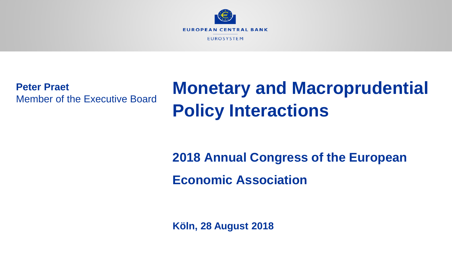

**Peter Praet** Member of the Executive Board

# **Monetary and Macroprudential Policy Interactions**

# **2018 Annual Congress of the European Economic Association**

**Köln, 28 August 2018**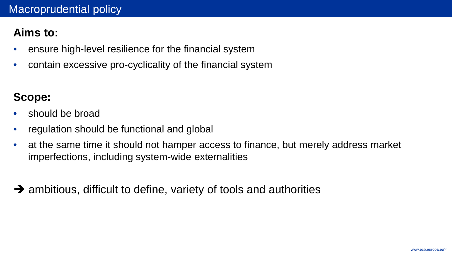### **Aims to:**

- ensure high-level resilience for the financial system
- contain excessive pro-cyclicality of the financial system

# **Scope:**

- should be broad
- regulation should be functional and global
- at the same time it should not hamper access to finance, but merely address market imperfections, including system-wide externalities
- $\rightarrow$  ambitious, difficult to define, variety of tools and authorities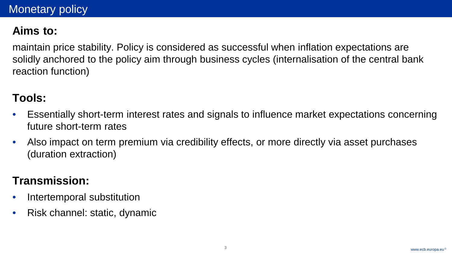# **Aims to:**

maintain price stability. Policy is considered as successful when inflation expectations are solidly anchored to the policy aim through business cycles (internalisation of the central bank reaction function)

#### **Tools:**

- Essentially short-term interest rates and signals to influence market expectations concerning future short-term rates
- Also impact on term premium via credibility effects, or more directly via asset purchases (duration extraction)

#### **Transmission:**

- Intertemporal substitution
- Risk channel: static, dynamic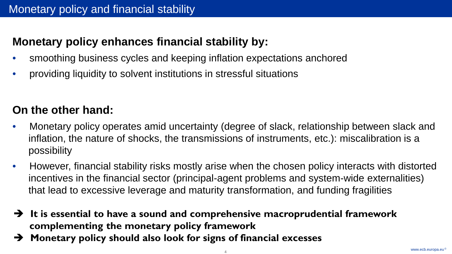# **Monetary policy enhances financial stability by:**

- smoothing business cycles and keeping inflation expectations anchored
- providing liquidity to solvent institutions in stressful situations

# **On the other hand:**

- Monetary policy operates amid uncertainty (degree of slack, relationship between slack and inflation, the nature of shocks, the transmissions of instruments, etc.): miscalibration is a possibility
- However, financial stability risks mostly arise when the chosen policy interacts with distorted incentives in the financial sector (principal-agent problems and system-wide externalities) that lead to excessive leverage and maturity transformation, and funding fragilities
- **It is essential to have a sound and comprehensive macroprudential framework complementing the monetary policy framework**
- **Monetary policy should also look for signs of financial excesses**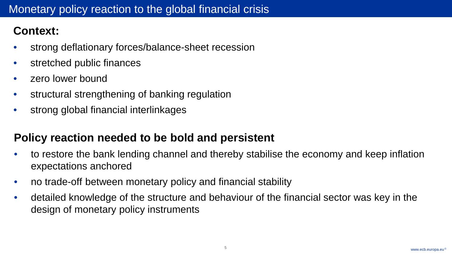# **Context:**

- strong deflationary forces/balance-sheet recession
- stretched public finances
- zero lower bound
- structural strengthening of banking regulation
- strong global financial interlinkages

#### **Policy reaction needed to be bold and persistent**

- to restore the bank lending channel and thereby stabilise the economy and keep inflation expectations anchored
- no trade-off between monetary policy and financial stability
- detailed knowledge of the structure and behaviour of the financial sector was key in the design of monetary policy instruments